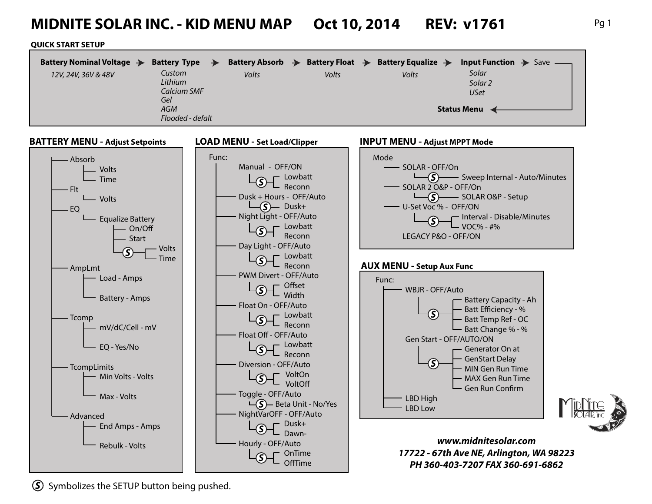# **MIDNITE SOLAR INC. - KID MENU MAP Oct 10, 2014 REV: v1761** Pg 1

#### **QUICK START SETUP**

| Battery Nominal Voltage $\rightarrow$ | Battery Type $\rightarrow$ |       | Battery Absorb $\rightarrow$ Battery Float $\rightarrow$ Battery Equalize $\rightarrow$ |       | <b>Input Function <math>\rightarrow</math></b> Save — |
|---------------------------------------|----------------------------|-------|-----------------------------------------------------------------------------------------|-------|-------------------------------------------------------|
| 12V, 24V, 36V & 48V                   | Custom<br>Lithium          | Volts | Volts                                                                                   | Volts | Solar<br>Solar <sub>2</sub>                           |
|                                       | Calcium SMF                |       |                                                                                         |       | <b>USet</b>                                           |
|                                       | Gel<br><b>AGM</b>          |       |                                                                                         |       |                                                       |
|                                       | Flooded - defalt           |       |                                                                                         |       | <b>Status Menu</b>                                    |



*S* Symbolizes the SETUP button being pushed.